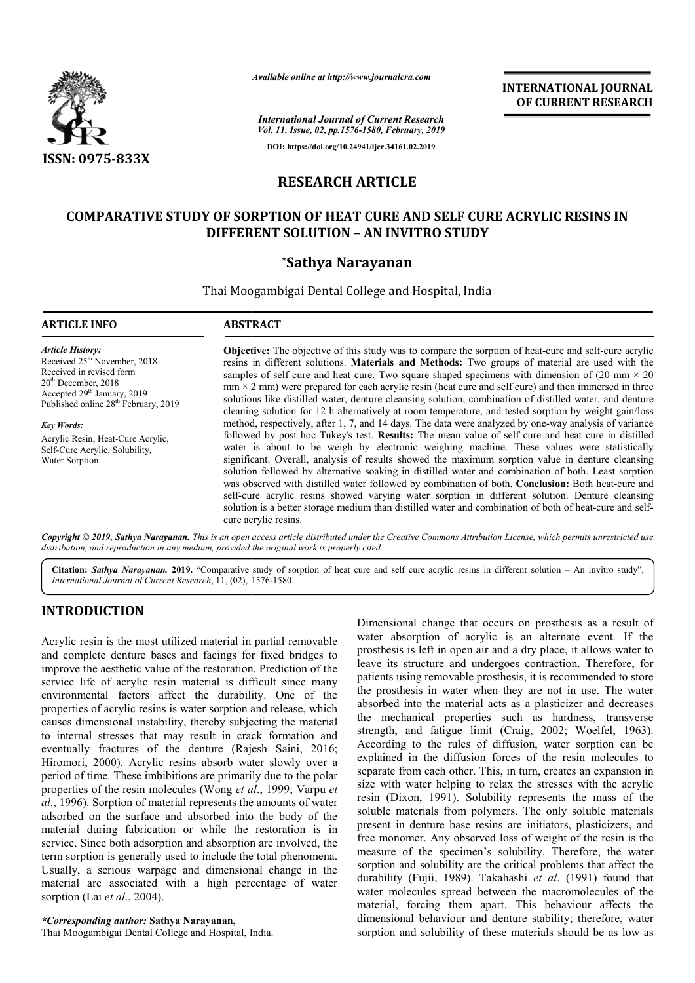

*Available online at http://www.journalcra.com*

*International Journal of Current Research Vol. 11, Issue, 02, pp.1576-1580, February, 2019* **DOI: https://doi.org/10.24941/ijcr.34161.02.2019**

**INTERNATIONAL JOURNAL OF CURRENT RESEARCH**

# **RESEARCH ARTICLE**

# **COMPARATIVE STUDY OF SORPTION OF HEAT CURE AND SELF CURE ACRYLIC RESINS IN HEAT CURE CURE ACRYLIC DIFFERENT SOLUTION – AN INVITRO STUDY**

## **\*Sathya Narayanan**

Thai Moogambigai Dental College and Hospital, India

## **ARTICLE INFO ABSTRACT**

*Article History:* Received  $25<sup>th</sup>$  November, 2018 Received in revised form 20th December, 2018 Accepted 29<sup>th</sup> January, 2019 Published online 28<sup>th</sup> February, 2019

*Key Words:* Acrylic Resin, Heat-Cure Acrylic, Self-Cure Acrylic, Solubility, Water Sorption.

**Objective:** The objective of this study was to compare the sorption of heat-cure and self-cure acrylic resins in different solutions. **Materials and Methods:** Two groups of material are used with the samples of self cure and heat cure. Two square shaped specimens with dimension of (20 mm  $\times$  20  $mm \times 2 mm$ ) were prepared for each acrylic resin (heat cure and self cure) and then immersed in three solutions like distilled water, denture cleansing solution, combination of distilled water, and denture cleaning solution for 12 h alternatively at room temperature, and tested sorption by weight gain/loss method, respectively, after 1, 7, and 14 days. The data were analyzed by one-way analysis of variance followed by post hoc Tukey's test. **Results:** The mean value of self cure and heat cure in distilled water is about to be weigh by electronic weighing machine. These values were statistically significant. Overall, analysis of results showed the maximum sorption value in denture cleansing solution followed by alternative soaking in distilled water and combination of both. Least sorption was observed with distilled water followed by combination of both. Conclusion: Both heat-cure and self-cure acrylic resins showed varying water sorption in different solution. Denture cleansing self-cure acrylic resins showed varying water sorption in different solution. Denture cleansing<br>solution is a better storage medium than distilled water and combination of both of heat-cure and selfcure acrylic resins. samples of self cure and heat cure. Two square shaped specimens with dimension of  $(20 \text{ mm} \times 20 \text{ mm}) \times 20 \text{ mm}$  were prepared for each acrylic resin (heat cure and self cure) and then immersed in three solutions like dis followed by post hoc Tukey's test. **Results:** The mean value of self cure and heat cure in distilled water is about to be weigh by electronic weighing machine. These values were statistically significant. Overall, analysis

Copyright © 2019, Sathya Narayanan. This is an open access article distributed under the Creative Commons Attribution License, which permits unrestricted use, *distribution, and reproduction in any medium, provided the original work is properly cited.*

Citation: Sathya Narayanan. 2019. "Comparative study of sorption of heat cure and self cure acrylic resins in different solution - An invitro study", **Citation: Sathya Narayanan. 2019.** "Comparative study of source *International Journal of Current Research*, 11, (02), 1576-1580.

# **INTRODUCTION**

Acrylic resin is the most utilized material in partial removable and complete denture bases and facings for fixed bridges to improve the aesthetic value of the restoration. Prediction of the service life of acrylic resin material is difficult since many environmental factors affect the durability. One of the properties of acrylic resins is water sorption and release, which causes dimensional instability, thereby subjecting the material to internal stresses that may result in crack formation and eventually fractures of the denture (Rajesh Saini, 2016; Hiromori, 2000). Acrylic resins absorb water slowly over a period of time. These imbibitions are primarily due to the polar properties of the resin molecules (Wong *et al* ., 1999; Varpu *et al*., 1996). Sorption of material represents the amounts of water adsorbed on the surface and absorbed into the body of the material during fabrication or while the restoration is in service. Since both adsorption and absorption are involved, the term sorption is generally used to include the total phenomena. Usually, a serious warpage and dimensional change in the material are associated with a high percentage of water sorption (Lai *et al*., 2004). material are associated with a high percenta<br>sorption (Lai *et al.*, 2004).<br>
\*Corresponding author: Sathya Narayanan,<br>Thai Moogambigai Dental College and Hospital, India.

Dimensional change that occurs on prosthesis as a result of water absorption of acrylic is an alternate event. If the prosthesis is left in open air and a dry place, it allows water to leave its structure and undergoes contraction. Therefore, for patients using removable prosthesis, it is recommended to store the prosthesis in water when they are not in use. The water absorbed into the material acts as a plasticizer and decreases the mechanical properties such as hard strength, and fatigue limit ( (Craig, 2002; Woelfel, 1963). According to the rules of diffusion, water sorption can be explained in the diffusion forces of the resin molecules to explained in the diffusion forces of the resin molecules to separate from each other. This, in turn, creates an expansion in size with water helping to relax the stresses with the acrylic resin (Dixon, 1991). Solubility represents the mass of the soluble materials from polymers. The only soluble materials present in denture base resins are initiators, plasticizers, and free monomer. Any observed loss of weight of the resin is the measure of the specimen's solubility. Therefore, the water sorption and solubility are the critical problems that affect the durability (Fujii, 1989). Takahashi *et al*. (1991) found that water molecules spread between the macromolecules of the material, forcing them apart. This behaviour affects the dimensional behaviour and denture stability; therefore, water sorption and solubility of these materials should be as low as Dimensional change that occurs on prosthesis as a result of water absorption of acrylic is an alternate event. If the prosthesis is left in open air and a dry place, it allows water to leave its structure and undergoes con patients using removable prosthesis, it is recommended to store the prosthesis in water when they are not in use. The water absorbed into the material acts as a plasticizer and decreases the mechanical properties such as h Solubility represents the mass of the polymers. The only soluble materials e resins are initiators, plasticizers, and served loss of weight of the resin is the men's solubility. Therefore, the water are the critical proble ecules spread between the macromolecules of the<br>forcing them apart. This behaviour affects the<br>al behaviour and denture stability; therefore, water<br>nd solubility of these materials should be as low as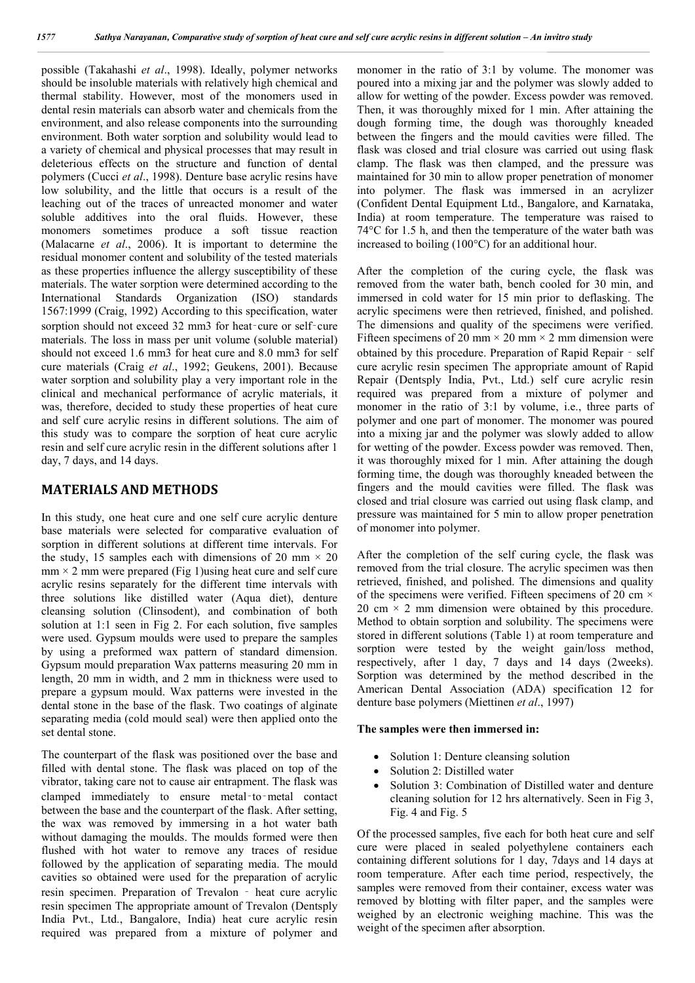possible (Takahashi *et al*., 1998). Ideally, polymer networks should be insoluble materials with relatively high chemical and thermal stability. However, most of the monomers used in dental resin materials can absorb water and chemicals from the environment, and also release components into the surrounding environment. Both water sorption and solubility would lead to a variety of chemical and physical processes that may result in deleterious effects on the structure and function of dental polymers (Cucci *et al*., 1998). Denture base acrylic resins have low solubility, and the little that occurs is a result of the leaching out of the traces of unreacted monomer and water soluble additives into the oral fluids. However, these monomers sometimes produce a soft tissue reaction (Malacarne *et al*., 2006). It is important to determine the residual monomer content and solubility of the tested materials as these properties influence the allergy susceptibility of these materials. The water sorption were determined according to the International Standards Organization (ISO) standards 1567:1999 (Craig, 1992) According to this specification, water sorption should not exceed 32 mm3 for heat-cure or self-cure materials. The loss in mass per unit volume (soluble material) should not exceed 1.6 mm3 for heat cure and 8.0 mm3 for self cure materials (Craig *et al*., 1992; Geukens, 2001). Because water sorption and solubility play a very important role in the clinical and mechanical performance of acrylic materials, it was, therefore, decided to study these properties of heat cure and self cure acrylic resins in different solutions. The aim of this study was to compare the sorption of heat cure acrylic resin and self cure acrylic resin in the different solutions after 1 day, 7 days, and 14 days.

#### **MATERIALS AND METHODS**

In this study, one heat cure and one self cure acrylic denture base materials were selected for comparative evaluation of sorption in different solutions at different time intervals. For the study, 15 samples each with dimensions of 20 mm  $\times$  20  $mm \times 2$  mm were prepared (Fig 1) using heat cure and self cure acrylic resins separately for the different time intervals with three solutions like distilled water (Aqua diet), denture cleansing solution (Clinsodent), and combination of both solution at 1:1 seen in Fig 2. For each solution, five samples were used. Gypsum moulds were used to prepare the samples by using a preformed wax pattern of standard dimension. Gypsum mould preparation Wax patterns measuring 20 mm in length, 20 mm in width, and 2 mm in thickness were used to prepare a gypsum mould. Wax patterns were invested in the dental stone in the base of the flask. Two coatings of alginate separating media (cold mould seal) were then applied onto the set dental stone.

The counterpart of the flask was positioned over the base and filled with dental stone. The flask was placed on top of the vibrator, taking care not to cause air entrapment. The flask was clamped immediately to ensure metal‑to‑metal contact between the base and the counterpart of the flask. After setting, the wax was removed by immersing in a hot water bath without damaging the moulds. The moulds formed were then flushed with hot water to remove any traces of residue followed by the application of separating media. The mould cavities so obtained were used for the preparation of acrylic resin specimen. Preparation of Trevalon ‑ heat cure acrylic resin specimen The appropriate amount of Trevalon (Dentsply India Pvt., Ltd., Bangalore, India) heat cure acrylic resin required was prepared from a mixture of polymer and

monomer in the ratio of 3:1 by volume. The monomer was poured into a mixing jar and the polymer was slowly added to allow for wetting of the powder. Excess powder was removed. Then, it was thoroughly mixed for 1 min. After attaining the dough forming time, the dough was thoroughly kneaded between the fingers and the mould cavities were filled. The flask was closed and trial closure was carried out using flask clamp. The flask was then clamped, and the pressure was maintained for 30 min to allow proper penetration of monomer into polymer. The flask was immersed in an acrylizer (Confident Dental Equipment Ltd., Bangalore, and Karnataka, India) at room temperature. The temperature was raised to 74°C for 1.5 h, and then the temperature of the water bath was increased to boiling (100°C) for an additional hour.

After the completion of the curing cycle, the flask was removed from the water bath, bench cooled for 30 min, and immersed in cold water for 15 min prior to deflasking. The acrylic specimens were then retrieved, finished, and polished. The dimensions and quality of the specimens were verified. Fifteen specimens of 20 mm  $\times$  20 mm  $\times$  2 mm dimension were obtained by this procedure. Preparation of Rapid Repair ‑ self cure acrylic resin specimen The appropriate amount of Rapid Repair (Dentsply India, Pvt., Ltd.) self cure acrylic resin required was prepared from a mixture of polymer and monomer in the ratio of 3:1 by volume, i.e., three parts of polymer and one part of monomer. The monomer was poured into a mixing jar and the polymer was slowly added to allow for wetting of the powder. Excess powder was removed. Then, it was thoroughly mixed for 1 min. After attaining the dough forming time, the dough was thoroughly kneaded between the fingers and the mould cavities were filled. The flask was closed and trial closure was carried out using flask clamp, and pressure was maintained for 5 min to allow proper penetration of monomer into polymer.

After the completion of the self curing cycle, the flask was removed from the trial closure. The acrylic specimen was then retrieved, finished, and polished. The dimensions and quality of the specimens were verified. Fifteen specimens of 20 cm  $\times$ 20 cm  $\times$  2 mm dimension were obtained by this procedure. Method to obtain sorption and solubility. The specimens were stored in different solutions (Table 1) at room temperature and sorption were tested by the weight gain/loss method, respectively, after 1 day, 7 days and 14 days (2weeks). Sorption was determined by the method described in the American Dental Association (ADA) specification 12 for denture base polymers (Miettinen *et al*., 1997)

#### **The samples were then immersed in:**

- Solution 1: Denture cleansing solution
- Solution 2: Distilled water
- Solution 3: Combination of Distilled water and denture cleaning solution for 12 hrs alternatively. Seen in Fig 3, Fig. 4 and Fig. 5

Of the processed samples, five each for both heat cure and self cure were placed in sealed polyethylene containers each containing different solutions for 1 day, 7days and 14 days at room temperature. After each time period, respectively, the samples were removed from their container, excess water was removed by blotting with filter paper, and the samples were weighed by an electronic weighing machine. This was the weight of the specimen after absorption.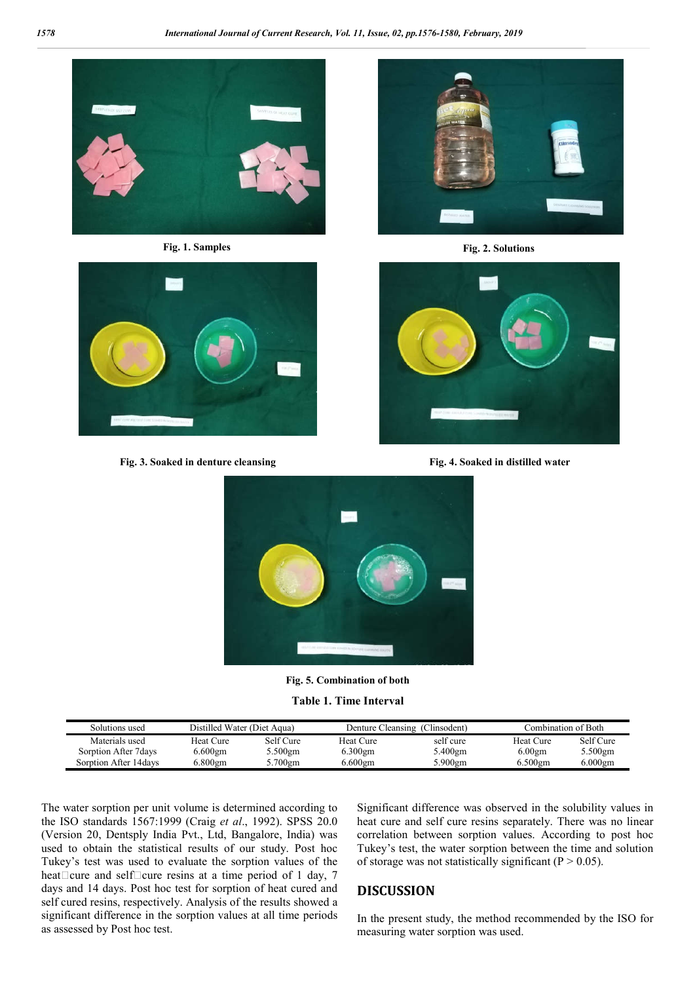



**Fig. 3. Soaked in denture cleansing Fig. 4. Soaked in distilled water**



**Fig. 1. Samples Fig. 2. Solutions**





**Fig. 5. Combination of both**

**Table 1. Time Interval**

| Solutions used         | Distilled Water (Diet Aqua) |            | Denture Cleansing (Clinsodent) |           | Combination of Both |            |
|------------------------|-----------------------------|------------|--------------------------------|-----------|---------------------|------------|
| Materials used         | Heat Cure                   | Self Cure  | Heat Cure                      | self cure | Heat Cure           | Self Cure  |
| Sorption After 7 days  | $6.600$ gm                  | .500gm     | $6.300$ gm                     | 5.400gm   | 6.00 <sub>gm</sub>  | 5.500gm    |
| Sorption After 14 days | 6.800gm                     | $5.700$ gm | $6.600$ gm                     | 5.900gm   | $6.500$ gm          | $6.000$ gm |

The water sorption per unit volume is determined according to the ISO standards 1567:1999 (Craig *et al*., 1992). SPSS 20.0 (Version 20, Dentsply India Pvt., Ltd, Bangalore, India) was used to obtain the statistical results of our study. Post hoc Tukey's test was used to evaluate the sorption values of the heat $\Box$ cure and self $\Box$ cure resins at a time period of 1 day, 7 days and 14 days. Post hoc test for sorption of heat cured and self cured resins, respectively. Analysis of the results showed a significant difference in the sorption values at all time periods as assessed by Post hoc test.

Significant difference was observed in the solubility values in heat cure and self cure resins separately. There was no linear correlation between sorption values. According to post hoc Tukey's test, the water sorption between the time and solution of storage was not statistically significant ( $P > 0.05$ ).

## **DISCUSSION**

In the present study, the method recommended by the ISO for measuring water sorption was used.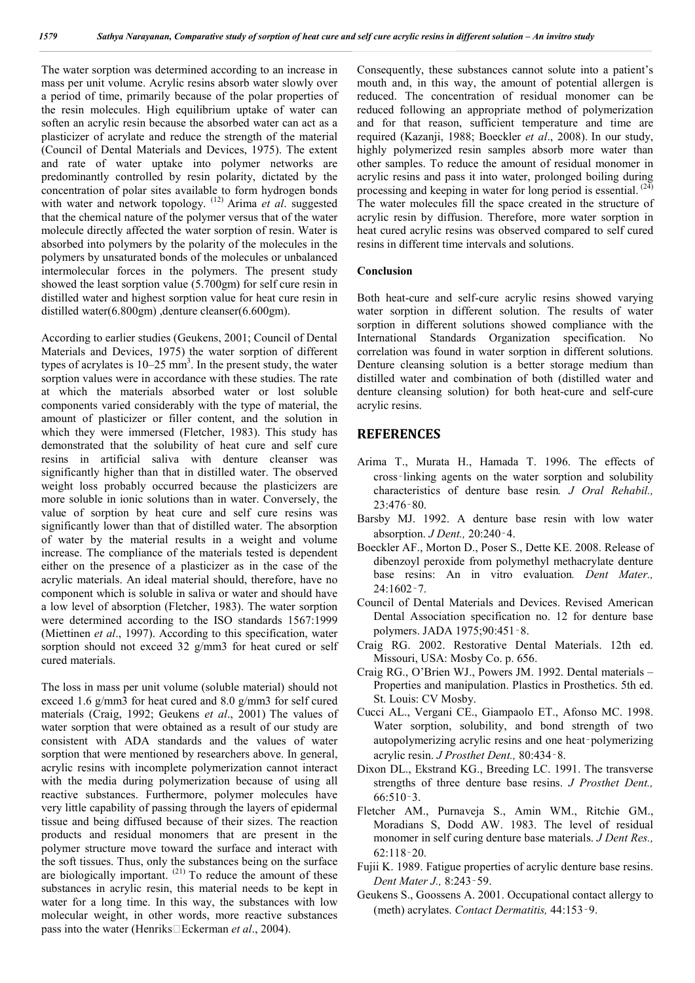The water sorption was determined according to an increase in mass per unit volume. Acrylic resins absorb water slowly over a period of time, primarily because of the polar properties of the resin molecules. High equilibrium uptake of water can soften an acrylic resin because the absorbed water can act as a plasticizer of acrylate and reduce the strength of the material (Council of Dental Materials and Devices, 1975). The extent and rate of water uptake into polymer networks are predominantly controlled by resin polarity, dictated by the concentration of polar sites available to form hydrogen bonds with water and network topology. (12) Arima *et al*. suggested that the chemical nature of the polymer versus that of the water molecule directly affected the water sorption of resin. Water is absorbed into polymers by the polarity of the molecules in the polymers by unsaturated bonds of the molecules or unbalanced intermolecular forces in the polymers. The present study showed the least sorption value (5.700gm) for self cure resin in distilled water and highest sorption value for heat cure resin in distilled water(6.800gm) ,denture cleanser(6.600gm).

According to earlier studies (Geukens, 2001; Council of Dental Materials and Devices, 1975) the water sorption of different types of acrylates is  $10-25$  mm<sup>3</sup>. In the present study, the water sorption values were in accordance with these studies. The rate at which the materials absorbed water or lost soluble components varied considerably with the type of material, the amount of plasticizer or filler content, and the solution in which they were immersed (Fletcher, 1983). This study has demonstrated that the solubility of heat cure and self cure resins in artificial saliva with denture cleanser was significantly higher than that in distilled water. The observed weight loss probably occurred because the plasticizers are more soluble in ionic solutions than in water. Conversely, the value of sorption by heat cure and self cure resins was significantly lower than that of distilled water. The absorption of water by the material results in a weight and volume increase. The compliance of the materials tested is dependent either on the presence of a plasticizer as in the case of the acrylic materials. An ideal material should, therefore, have no component which is soluble in saliva or water and should have a low level of absorption (Fletcher, 1983). The water sorption were determined according to the ISO standards 1567:1999 (Miettinen *et al*., 1997). According to this specification, water sorption should not exceed 32 g/mm3 for heat cured or self cured materials.

The loss in mass per unit volume (soluble material) should not exceed 1.6 g/mm3 for heat cured and 8.0 g/mm3 for self cured materials (Craig, 1992; Geukens *et al*., 2001) The values of water sorption that were obtained as a result of our study are consistent with ADA standards and the values of water sorption that were mentioned by researchers above. In general, acrylic resins with incomplete polymerization cannot interact with the media during polymerization because of using all reactive substances. Furthermore, polymer molecules have very little capability of passing through the layers of epidermal tissue and being diffused because of their sizes. The reaction products and residual monomers that are present in the polymer structure move toward the surface and interact with the soft tissues. Thus, only the substances being on the surface are biologically important.  $(21)$  To reduce the amount of these substances in acrylic resin, this material needs to be kept in water for a long time. In this way, the substances with low molecular weight, in other words, more reactive substances pass into the water (Henriks□Eckerman *et al.*, 2004).

Consequently, these substances cannot solute into a patient's mouth and, in this way, the amount of potential allergen is reduced. The concentration of residual monomer can be reduced following an appropriate method of polymerization and for that reason, sufficient temperature and time are required (Kazanji, 1988; Boeckler *et al*., 2008). In our study, highly polymerized resin samples absorb more water than other samples. To reduce the amount of residual monomer in acrylic resins and pass it into water, prolonged boiling during processing and keeping in water for long period is essential. <sup>(24)</sup> The water molecules fill the space created in the structure of acrylic resin by diffusion. Therefore, more water sorption in heat cured acrylic resins was observed compared to self cured resins in different time intervals and solutions.

#### **Conclusion**

Both heat-cure and self-cure acrylic resins showed varying water sorption in different solution. The results of water sorption in different solutions showed compliance with the International Standards Organization specification. No correlation was found in water sorption in different solutions. Denture cleansing solution is a better storage medium than distilled water and combination of both (distilled water and denture cleansing solution) for both heat-cure and self-cure acrylic resins.

### **REFERENCES**

- Arima T., Murata H., Hamada T. 1996. The effects of cross‑linking agents on the water sorption and solubility characteristics of denture base resin*. J Oral Rehabil.,* 23:476‑80.
- Barsby MJ. 1992. A denture base resin with low water absorption. *J Dent.,* 20:240‑4.
- Boeckler AF., Morton D., Poser S., Dette KE. 2008. Release of dibenzoyl peroxide from polymethyl methacrylate denture base resins: An in vitro evaluation*. Dent Mater.,* 24:1602‑7.
- Council of Dental Materials and Devices. Revised American Dental Association specification no. 12 for denture base polymers. JADA 1975;90:451‑8.
- Craig RG. 2002. Restorative Dental Materials. 12th ed. Missouri, USA: Mosby Co. p. 656.
- Craig RG., O'Brien WJ., Powers JM. 1992. Dental materials Properties and manipulation. Plastics in Prosthetics. 5th ed. St. Louis: CV Mosby.
- Cucci AL., Vergani CE., Giampaolo ET., Afonso MC. 1998. Water sorption, solubility, and bond strength of two autopolymerizing acrylic resins and one heat‑polymerizing acrylic resin. *J Prosthet Dent.,* 80:434‑8.
- Dixon DL., Ekstrand KG., Breeding LC. 1991. The transverse strengths of three denture base resins. *J Prosthet Dent.,* 66:510‑3.
- Fletcher AM., Purnaveja S., Amin WM., Ritchie GM., Moradians S, Dodd AW. 1983. The level of residual monomer in self curing denture base materials. *J Dent Res.,* 62:118‑20.
- Fujii K. 1989. Fatigue properties of acrylic denture base resins. *Dent Mater J.,* 8:243‑59.
- Geukens S., Goossens A. 2001. Occupational contact allergy to (meth) acrylates. *Contact Dermatitis,* 44:153‑9.